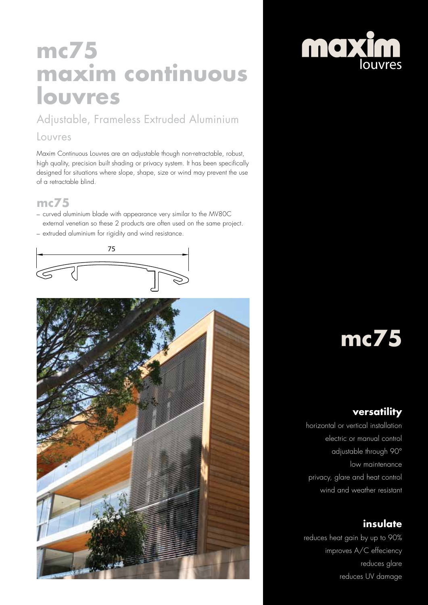## **mc75 maxim continuous louvres**

Adjustable, Frameless Extruded Aluminium

#### Louvres

Maxim Continuous Louvres are an adjustable though non-retractable, robust, high quality, precision built shading or privacy system. It has been specifically designed for situations where slope, shape, size or wind may prevent the use of a retractable blind.

#### **mc75**

– curved aluminium blade with appearance very similar to the MV80C external venetian so these 2 products are often used on the same project. – extruded aluminium for rigidity and wind resistance.





# moxim

# **mc75**

#### **versatility**

horizontal or vertical installation electric or manual control adjustable through 90° low maintenance privacy, glare and heat control wind and weather resistant

### **insulate**

reduces heat gain by up to 90% improves A/C effeciency reduces glare reduces UV damage